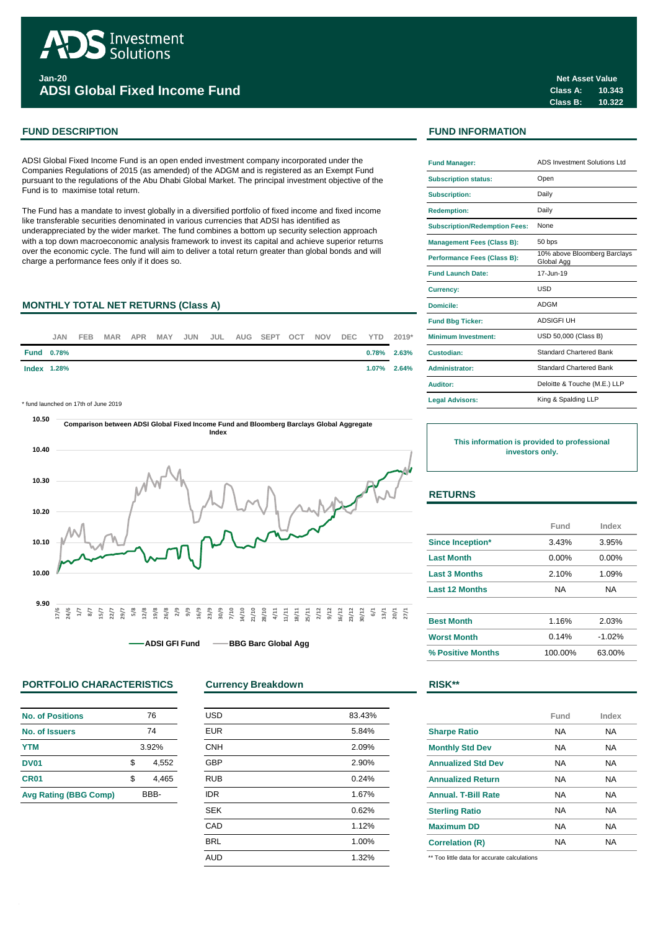

**ADSI Global Fixed Income Fund**

ADSI Global Fixed Income Fund is an open ended investment company incorporated under the Companies Regulations of 2015 (as amended) of the ADGM and is registered as an Exempt Fund pursuant to the regulations of the Abu Dhabi Global Market. The principal investment objective of the Fund is to maximise total return.

The Fund has a mandate to invest globally in a diversified portfolio of fixed income and fixed income like transferable securities denominated in various currencies that ADSI has identified as underappreciated by the wider market. The fund combines a bottom up security selection approach with a top down macroeconomic analysis framework to invest its capital and achieve superior returns over the economic cycle. The fund will aim to deliver a total return greater than global bonds and will charge a performance fees only if it does so.

# **MONTHLY TOTAL NET RETURNS (Class A)**



\* fund launched on 17th of June 2019 **Legal Advisors:**



**ADSI GFI Fund • BBG Barc Global Agg** 

# **PORTFOLIO CHARACTERISTICS Currency Breakdown RISK\*\***

| <b>No. of Positions</b>      |       | 76    |
|------------------------------|-------|-------|
| No. of Issuers               | 74    |       |
| <b>YTM</b>                   | 3.92% |       |
| <b>DV01</b>                  | \$    | 4.552 |
| CR <sub>01</sub>             | \$.   | 4.465 |
| <b>Avg Rating (BBG Comp)</b> | RBB-  |       |

| <b>USD</b> | 83.43% |
|------------|--------|
| <b>EUR</b> | 5.84%  |
| <b>CNH</b> | 2.09%  |
| <b>GBP</b> | 2.90%  |
| <b>RUB</b> | 0.24%  |
| <b>IDR</b> | 1.67%  |
| <b>SEK</b> | 0.62%  |
| CAD        | 1.12%  |
| <b>BRL</b> | 1.00%  |
| <b>AUD</b> | 1.32%  |
|            |        |

# **FUND DESCRIPTION FUND INFORMATION**

| <b>Fund Manager:</b>                 | ADS Investment Solutions Ltd               |
|--------------------------------------|--------------------------------------------|
| <b>Subscription status:</b>          | Open                                       |
| <b>Subscription:</b>                 | Daily                                      |
| <b>Redemption:</b>                   | Daily                                      |
| <b>Subscription/Redemption Fees:</b> | None                                       |
| <b>Management Fees (Class B):</b>    | 50 bps                                     |
| Performance Fees (Class B):          | 10% above Bloomberg Barclays<br>Global Agg |
| <b>Fund Launch Date:</b>             | 17-Jun-19                                  |
| <b>Currency:</b>                     | USD                                        |
| Domicile:                            | <b>ADGM</b>                                |
| <b>Fund Bbg Ticker:</b>              | <b>ADSIGFI UH</b>                          |
| <b>Minimum Investment:</b>           | USD 50,000 (Class B)                       |
| Custodian:                           | <b>Standard Chartered Bank</b>             |
| <b>Administrator:</b>                | Standard Chartered Bank                    |
| Auditor:                             | Deloitte & Touche (M.E.) LLP               |
| <b>Legal Advisors:</b>               | King & Spalding LLP                        |

**This information is provided to professional investors only.**

## **RETURNS**

|                         | Fund      | Index    |
|-------------------------|-----------|----------|
| <b>Since Inception*</b> | 3.43%     | 3.95%    |
| <b>Last Month</b>       | $0.00\%$  | $0.00\%$ |
| <b>Last 3 Months</b>    | 2.10%     | 1.09%    |
| <b>Last 12 Months</b>   | NA.<br>NA |          |
|                         |           |          |
| <b>Best Month</b>       | 1.16%     | 2.03%    |
| <b>Worst Month</b>      | 0.14%     | $-1.02%$ |
| % Positive Months       | 100.00%   | 63.00%   |

|                            | Fund | Index |
|----------------------------|------|-------|
| <b>Sharpe Ratio</b>        | NA   | NA    |
| <b>Monthly Std Dev</b>     | NA   | NA    |
| <b>Annualized Std Dev</b>  | NA   | NA    |
| <b>Annualized Return</b>   | NA   | NA    |
| <b>Annual, T-Bill Rate</b> | NA   | NA    |
| <b>Sterling Ratio</b>      | NA   | NA    |
| <b>Maximum DD</b>          | NA   | NA    |
| <b>Correlation (R)</b>     | NA   | NA    |

\*\* Too little data for accurate calculations